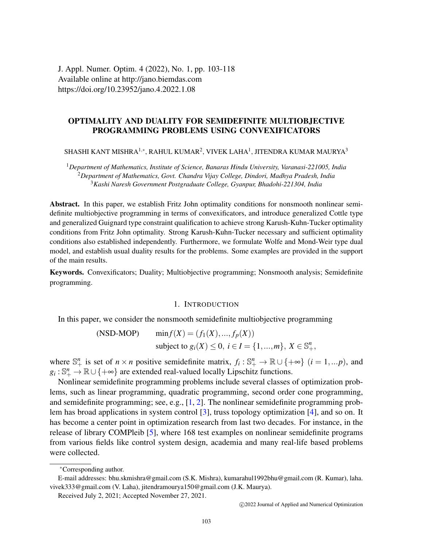J. Appl. Numer. Optim. 4 (2022), No. 1, pp. 103-118 Available online at http://jano.biemdas.com https://doi.org/10.23952/jano.4.2022.1.08

# OPTIMALITY AND DUALITY FOR SEMIDEFINITE MULTIOBJECTIVE PROGRAMMING PROBLEMS USING CONVEXIFICATORS

SHASHI KANT MISHRA $^{1,\ast}$ , RAHUL KUMAR $^{2}$ , VIVEK LAHA $^{1}$ , JITENDRA KUMAR MAURYA $^{3}$ 

<sup>1</sup>*Department of Mathematics, Institute of Science, Banaras Hindu University, Varanasi-221005, India* <sup>2</sup>*Department of Mathematics, Govt. Chandra Vijay College, Dindori, Madhya Pradesh, India* <sup>3</sup>*Kashi Naresh Government Postgraduate College, Gyanpur, Bhadohi-221304, India*

Abstract. In this paper, we establish Fritz John optimality conditions for nonsmooth nonlinear semidefinite multiobjective programming in terms of convexificators, and introduce generalized Cottle type and generalized Guignard type constraint qualification to achieve strong Karush-Kuhn-Tucker optimality conditions from Fritz John optimality. Strong Karush-Kuhn-Tucker necessary and sufficient optimality conditions also established independently. Furthermore, we formulate Wolfe and Mond-Weir type dual model, and establish usual duality results for the problems. Some examples are provided in the support of the main results.

Keywords. Convexificators; Duality; Multiobjective programming; Nonsmooth analysis; Semidefinite programming.

#### 1. INTRODUCTION

In this paper, we consider the nonsmooth semidefinite multiobjective programming

(NSD-MOP) 
$$
\min f(X) = (f_1(X), ..., f_p(X))
$$
  
subject to  $g_i(X) \le 0, i \in I = \{1, ..., m\}, X \in \mathbb{S}^n_+$ 

where  $\mathbb{S}^n_+$  is set of  $n \times n$  positive semidefinite matrix,  $f_i : \mathbb{S}^n_+ \to \mathbb{R} \cup \{+\infty\}$   $(i = 1,...p)$ , and  $g_i: \mathbb{S}^n_+ \to \mathbb{R} \cup \{+\infty\}$  are extended real-valued locally Lipschitz functions.

Nonlinear semidefinite programming problems include several classes of optimization problems, such as linear programming, quadratic programming, second order cone programming, and semidefinite programming; see, e.g., [\[1,](#page-14-0) [2\]](#page-14-1). The nonlinear semidefinite programming problem has broad applications in system control [\[3\]](#page-14-2), truss topology optimization [\[4\]](#page-14-3), and so on. It has become a center point in optimization research from last two decades. For instance, in the release of library COMPleib [\[5\]](#page-14-4), where 168 test examples on nonlinear semidefinite programs from various fields like control system design, academia and many real-life based problems were collected.

<sup>∗</sup>Corresponding author.

E-mail addresses: bhu.skmishra@gmail.com (S.K. Mishra), kumarahul1992bhu@gmail.com (R. Kumar), laha. vivek333@gmail.com (V. Laha), jitendramourya150@gmail.com (J.K. Maurya).

Received July 2, 2021; Accepted November 27, 2021.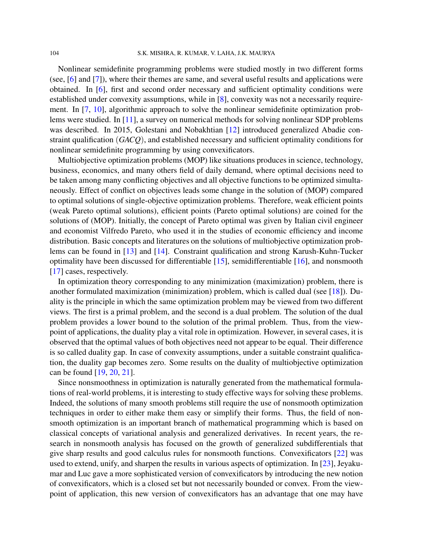Nonlinear semidefinite programming problems were studied mostly in two different forms (see, [\[6\]](#page-14-5) and [\[7\]](#page-14-6)), where their themes are same, and several useful results and applications were obtained. In [\[6\]](#page-14-5), first and second order necessary and sufficient optimality conditions were established under convexity assumptions, while in [\[8\]](#page-14-7), convexity was not a necessarily requirement. In [\[7,](#page-14-6) [10\]](#page-14-8), algorithmic approach to solve the nonlinear semidefinite optimization problems were studied. In [\[11\]](#page-14-9), a survey on numerical methods for solving nonlinear SDP problems was described. In 2015, Golestani and Nobakhtian [\[12\]](#page-14-10) introduced generalized Abadie constraint qualification (*GACQ*), and established necessary and sufficient optimality conditions for nonlinear semidefinite programming by using convexificators.

Multiobjective optimization problems (MOP) like situations produces in science, technology, business, economics, and many others field of daily demand, where optimal decisions need to be taken among many conflicting objectives and all objective functions to be optimized simultaneously. Effect of conflict on objectives leads some change in the solution of (MOP) compared to optimal solutions of single-objective optimization problems. Therefore, weak efficient points (weak Pareto optimal solutions), efficient points (Pareto optimal solutions) are coined for the solutions of (MOP). Initially, the concept of Pareto optimal was given by Italian civil engineer and economist Vilfredo Pareto, who used it in the studies of economic efficiency and income distribution. Basic concepts and literatures on the solutions of multiobjective optimization problems can be found in [\[13\]](#page-14-11) and [\[14\]](#page-14-12). Constraint qualification and strong Karush-Kuhn-Tucker optimality have been discussed for differentiable [\[15\]](#page-14-13), semidifferentiable [\[16\]](#page-14-14), and nonsmooth [\[17\]](#page-15-0) cases, respectively.

In optimization theory corresponding to any minimization (maximization) problem, there is another formulated maximization (minimization) problem, which is called dual (see [\[18\]](#page-15-1)). Duality is the principle in which the same optimization problem may be viewed from two different views. The first is a primal problem, and the second is a dual problem. The solution of the dual problem provides a lower bound to the solution of the primal problem. Thus, from the viewpoint of applications, the duality play a vital role in optimization. However, in several cases, it is observed that the optimal values of both objectives need not appear to be equal. Their difference is so called duality gap. In case of convexity assumptions, under a suitable constraint qualification, the duality gap becomes zero. Some results on the duality of multiobjective optimization can be found [\[19,](#page-15-2) [20,](#page-15-3) [21\]](#page-15-4).

Since nonsmoothness in optimization is naturally generated from the mathematical formulations of real-world problems, it is interesting to study effective ways for solving these problems. Indeed, the solutions of many smooth problems still require the use of nonsmooth optimization techniques in order to either make them easy or simplify their forms. Thus, the field of nonsmooth optimization is an important branch of mathematical programming which is based on classical concepts of variational analysis and generalized derivatives. In recent years, the research in nonsmooth analysis has focused on the growth of generalized subdifferentials that give sharp results and good calculus rules for nonsmooth functions. Convexificators [\[22\]](#page-15-5) was used to extend, unify, and sharpen the results in various aspects of optimization. In [\[23\]](#page-15-6), Jeyakumar and Luc gave a more sophisticated version of convexificators by introducing the new notion of convexificators, which is a closed set but not necessarily bounded or convex. From the viewpoint of application, this new version of convexificators has an advantage that one may have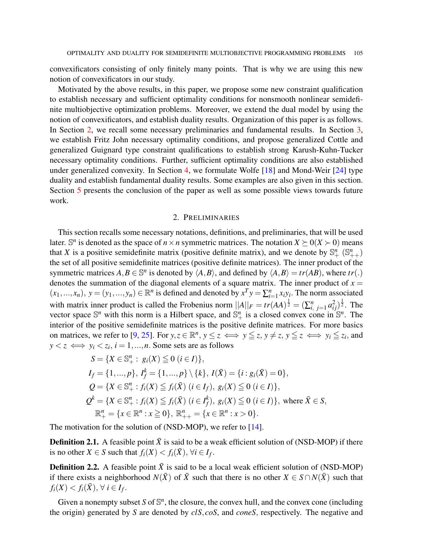convexificators consisting of only finitely many points. That is why we are using this new notion of convexificators in our study.

Motivated by the above results, in this paper, we propose some new constraint qualification to establish necessary and sufficient optimality conditions for nonsmooth nonlinear semidefinite multiobjective optimization problems. Moreover, we extend the dual model by using the notion of convexificators, and establish duality results. Organization of this paper is as follows. In Section [2,](#page-2-0) we recall some necessary preliminaries and fundamental results. In Section [3,](#page-4-0) we establish Fritz John necessary optimality conditions, and propose generalized Cottle and generalized Guignard type constraint qualifications to establish strong Karush-Kuhn-Tucker necessary optimality conditions. Further, sufficient optimality conditions are also established under generalized convexity. In Section [4,](#page-9-0) we formulate Wolfe [\[18\]](#page-15-1) and Mond-Weir [\[24\]](#page-15-7) type duality and establish fundamental duality results. Some examples are also given in this section. Section [5](#page-14-15) presents the conclusion of the paper as well as some possible views towards future work.

### 2. PRELIMINARIES

<span id="page-2-0"></span>This section recalls some necessary notations, definitions, and preliminaries, that will be used later. S<sup>*n*</sup> is denoted as the space of  $n \times n$  symmetric matrices. The notation  $X \succeq 0$  ( $X \succ 0$ ) means that *X* is a positive semidefinite matrix (positive definite matrix), and we denote by  $\mathbb{S}^n_+$  ( $\mathbb{S}^n_{++}$ ) the set of all positive semidefinite matrices (positive definite matrices). The inner product of the symmetric matrices  $A, B \in \mathbb{S}^n$  is denoted by  $\langle A, B \rangle$ , and defined by  $\langle A, B \rangle = tr(AB)$ , where  $tr(.)$ denotes the summation of the diagonal elements of a square matrix. The inner product of  $x =$  $(x_1,...,x_n)$ ,  $y = (y_1,...,y_n) \in \mathbb{R}^n$  is defined and denoted by  $x^T y = \sum_{i=1}^n x_i y_i$ . The norm associated with matrix inner product is called the Frobenius norm  $||A||_F = tr(AA)^{\frac{1}{2}} = (\sum_{i,j=1}^n a_{ij}^2)^{\frac{1}{2}}$ . The vector space  $\mathbb{S}^n$  with this norm is a Hilbert space, and  $\mathbb{S}^n_+$  is a closed convex cone in  $\mathbb{S}^n$ . The interior of the positive semidefinite matrices is the positive definite matrices. For more basics on matrices, we refer to [\[9,](#page-14-16) [25\]](#page-15-8). For  $y, z \in \mathbb{R}^n$ ,  $y \le z \iff y \le z$ ,  $y \ne z$ ,  $y \le z \iff y_i \le z_i$ , and  $y < z \iff y_i < z_i, i = 1, ..., n$ . Some sets are as follows

$$
S = \{X \in \mathbb{S}^n_+ : g_i(X) \le 0 \ (i \in I)\},
$$
  
\n
$$
I_f = \{1, ..., p\}, I_f^k = \{1, ..., p\} \setminus \{k\}, I(\bar{X}) = \{i : g_i(\bar{X}) = 0\},
$$
  
\n
$$
Q = \{X \in \mathbb{S}^n_+ : f_i(X) \le f_i(\bar{X}) \ (i \in I_f), g_i(X) \le 0 \ (i \in I)\},
$$
  
\n
$$
Q^k = \{X \in \mathbb{S}^n_+ : f_i(X) \le f_i(\bar{X}) \ (i \in I_f^k), g_i(X) \le 0 \ (i \in I)\}, \text{ where } \bar{X} \in S,
$$
  
\n
$$
\mathbb{R}^n_+ = \{x \in \mathbb{R}^n : x \ge 0\}, \mathbb{R}^n_{++} = \{x \in \mathbb{R}^n : x > 0\}.
$$

The motivation for the solution of (NSD-MOP), we refer to [\[14\]](#page-14-12).

**Definition 2.1.** A feasible point  $\bar{X}$  is said to be a weak efficient solution of (NSD-MOP) if there is no other  $X \in S$  such that  $f_i(X) < f_i(\bar{X})$ ,  $\forall i \in I_f$ .

**Definition 2.2.** A feasible point  $\bar{X}$  is said to be a local weak efficient solution of (NSD-MOP) if there exists a neighborhood  $N(\bar{X})$  of  $\bar{X}$  such that there is no other  $X \in S \cap N(\bar{X})$  such that  $f_i(X) < f_i(\bar{X}), \forall i \in I_f.$ 

Given a nonempty subset  $S$  of  $\mathbb{S}^n$ , the closure, the convex hull, and the convex cone (including the origin) generated by *S* are denoted by *clS*, *coS*, and *coneS*, respectively. The negative and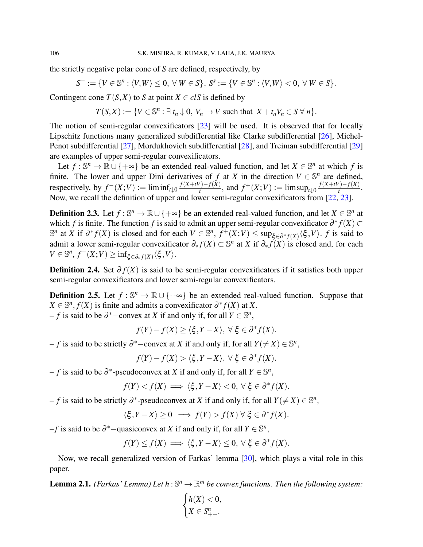the strictly negative polar cone of *S* are defined, respectively, by

$$
S^- := \{ V \in \mathbb{S}^n : \langle V, W \rangle \leq 0, \ \forall \ W \in S \}, \ S^s := \{ V \in \mathbb{S}^n : \langle V, W \rangle < 0, \ \forall \ W \in S \}.
$$

Contingent cone  $T(S, X)$  to *S* at point  $X \in \text{cl}S$  is defined by

 $T(S,X) := \{V \in \mathbb{S}^n : \exists t_n \downarrow 0, V_n \to V \text{ such that } X + t_n V_n \in S \,\forall n\}.$ 

The notion of semi-regular convexificators [\[23\]](#page-15-6) will be used. It is observed that for locally Lipschitz functions many generalized subdifferential like Clarke subdifferential [\[26\]](#page-15-9), Michel-Penot subdifferential [\[27\]](#page-15-10), Mordukhovich subdifferential [\[28\]](#page-15-11), and Treiman subdifferential [\[29\]](#page-15-12) are examples of upper semi-regular convexificators.

Let  $f : \mathbb{S}^n \to \mathbb{R} \cup \{+\infty\}$  be an extended real-valued function, and let  $X \in \mathbb{S}^n$  at which f is finite. The lower and upper Dini derivatives of *f* at *X* in the direction  $V \in \mathbb{S}^n$  are defined, respectively, by  $f^-(X;V) := \liminf_{t \downarrow 0} \frac{f(X+tV) - f(X)}{t}$  $f_t^{(t)}(X;V) := \limsup_{t \to 0} \frac{f(X+tV) - f(X)}{t}$  $\frac{f(-f(x))}{t}$ . Now, we recall the definition of upper and lower semi-regular convexificators from [\[22,](#page-15-5) [23\]](#page-15-6).

**Definition 2.3.** Let  $f : \mathbb{S}^n \to \mathbb{R} \cup \{+\infty\}$  be an extended real-valued function, and let  $X \in \mathbb{S}^n$  at which *f* is finite. The function *f* is said to admit an upper semi-regular convexificator  $\partial^* f(X) \subset$  $\mathbb{S}^n$  at *X* if  $\partial^* f(X)$  is closed and for each  $V \in \mathbb{S}^n$ ,  $f^{\pm}(X;V)$  ≤ sup<sub>ξ∈</sub> $\partial^* f(X)$   $\langle \xi, V \rangle$ . *f* is said to admit a lower semi-regular convexificator ∂<sup>∗</sup> *f*(*X*) ⊂ S *n* at *X* if ∂<sup>∗</sup> *f*(*X*) is closed and, for each  $V \in \mathbb{S}^n$ ,  $f^-(X;V) \ge \inf_{\xi \in \partial_* f(X)} \langle \xi, V \rangle$ .

**Definition 2.4.** Set  $\partial f(X)$  is said to be semi-regular convexificators if it satisfies both upper semi-regular convexificators and lower semi-regular convexificators.

**Definition 2.5.** Let  $f : \mathbb{S}^n \to \mathbb{R} \cup \{+\infty\}$  be an extended real-valued function. Suppose that  $X \in \mathbb{S}^n$ ,  $f(X)$  is finite and admits a convexificator  $\partial^* f(X)$  at *X*.  $-f$  is said to be  $\partial$ <sup>\*</sup> − convex at *X* if and only if, for all  $Y \in \mathbb{S}^n$ ,

$$
f(Y) - f(X) \ge \langle \xi, Y - X \rangle, \ \forall \ \xi \in \partial^* f(X).
$$

 $-f$  is said to be strictly  $\partial^*$  – convex at *X* if and only if, for all  $Y(\neq X) \in \mathbb{S}^n$ ,

$$
f(Y) - f(X) > \langle \xi, Y - X \rangle, \ \forall \ \xi \in \partial^* f(X).
$$

 $- f$  is said to be  $\partial^*$ -pseudoconvex at *X* if and only if, for all *Y* ∈ S<sup>*n*</sup>,

$$
f(Y) < f(X) \implies \langle \xi, Y - X \rangle < 0, \ \forall \ \xi \in \partial^* f(X).
$$

 $-f$  is said to be strictly  $\partial^*$ -pseudoconvex at *X* if and only if, for all *Y*( $\neq$  *X*) ∈  $\mathbb{S}^n$ ,

$$
\langle \xi, Y - X \rangle \ge 0 \implies f(Y) > f(X) \,\forall \,\xi \in \partial^* f(X).
$$

 $-f$  is said to be  $\partial^*$  –quasiconvex at *X* if and only if, for all *Y* ∈  $\mathbb{S}^n$ ,

$$
f(Y) \le f(X) \implies \langle \xi, Y - X \rangle \le 0, \ \forall \ \xi \in \partial^* f(X).
$$

Now, we recall generalized version of Farkas' lemma [\[30\]](#page-15-13), which plays a vital role in this paper.

<span id="page-3-0"></span>**Lemma 2.1.** *(Farkas' Lemma) Let*  $h : \mathbb{S}^n \to \mathbb{R}^m$  *be convex functions. Then the following system:* 

$$
\begin{cases} h(X) < 0, \\ X \in S_{++}^n. \end{cases}
$$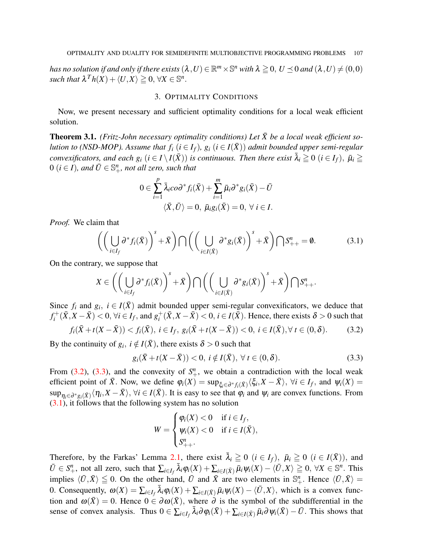has no solution if and only if there exists  $(\lambda, U) \in \mathbb{R}^m \times \mathbb{S}^n$  with  $\lambda \geqq 0, U \preceq 0$  and  $(\lambda, U) \neq (0, 0)$  $\mathit{such that } \ \lambda^T h(X) + \langle U, X \rangle \geqq 0, \ \forall X \in \mathbb{S}^n.$ 

#### 3. OPTIMALITY CONDITIONS

<span id="page-4-0"></span>Now, we present necessary and sufficient optimality conditions for a local weak efficient solution.

<span id="page-4-4"></span>**Theorem 3.1.** *(Fritz-John necessary optimality conditions) Let*  $\bar{X}$  *be a local weak efficient solution to (NSD-MOP). Assume that*  $f_i$  ( $i \in I_f$ )*,*  $g_i$  ( $i \in I(\bar{X})$ ) *admit bounded upper semi-regular convexificators, and each*  $g_i$  $(i \in I \setminus I(\bar{X}))$  *<i>is continuous. Then there exist*  $\bar{\lambda}_i \geq 0$   $(i \in I_f)$ ,  $\bar{\mu}_i \geq$  $0$   $(i \in I)$ *, and*  $\overline{U} \in \mathbb{S}^n_+$ *, not all zero, such that* 

<span id="page-4-3"></span>
$$
0 \in \sum_{i=1}^{p} \bar{\lambda}_i \cos^* f_i(\bar{X}) + \sum_{i=1}^{m} \bar{\mu}_i \partial^* g_i(\bar{X}) - \bar{U}
$$
  

$$
\langle \bar{X}, \bar{U} \rangle = 0, \ \bar{\mu}_i g_i(\bar{X}) = 0, \ \forall \ i \in I.
$$

*Proof.* We claim that

$$
\left( \left( \bigcup_{i \in I_f} \partial^* f_i(\bar{X}) \right)^s + \bar{X} \right) \bigcap \left( \left( \bigcup_{i \in I(\bar{X})} \partial^* g_i(\bar{X}) \right)^s + \bar{X} \right) \bigcap S^n_{++} = \emptyset. \tag{3.1}
$$

On the contrary, we suppose that

$$
X \in \left( \left( \bigcup_{i \in I_f} \partial^* f_i(\bar{X}) \right)^s + \bar{X} \right) \bigcap \left( \left( \bigcup_{i \in I(\bar{X})} \partial^* g_i(\bar{X}) \right)^s + \bar{X} \right) \bigcap S^n_{++}.
$$

Since  $f_i$  and  $g_i$ ,  $i \in I(\bar{X})$  admit bounded upper semi-regular convexificators, we deduce that  $f_i^+$ *i*<sup>+</sup> ( $\bar{X}$ ,  $X - \bar{X}$ ) < 0, ∀*i* ∈ *I*<sub>*f*</sub>, and  $g_i^+$  $i^+_{i}(\bar{X}, X - \bar{X}) < 0, i \in I(\bar{X})$ . Hence, there exists  $\delta > 0$  such that

$$
f_i(\bar{X} + t(X - \bar{X})) < f_i(\bar{X}), \ i \in I_f, \ g_i(\bar{X} + t(X - \bar{X})) < 0, \ i \in I(\bar{X}), \forall \ t \in (0, \delta). \tag{3.2}
$$

By the continuity of  $g_i$ ,  $i \notin I(\bar{X})$ , there exists  $\delta > 0$  such that

$$
g_i(\bar{X} + t(X - \bar{X})) < 0, \ i \notin I(\bar{X}), \ \forall \ t \in (0, \delta). \tag{3.3}
$$

From [\(3.2\)](#page-4-1), [\(3.3\)](#page-4-2), and the convexity of  $S^n_+$ , we obtain a contradiction with the local weak efficient point of  $\bar{X}$ . Now, we define  $\varphi_i(X) = \sup_{\xi_i \in \partial^* f_i(\bar{X})} \langle \xi_i, X - \bar{X} \rangle$ ,  $\forall i \in I_f$ , and  $\psi_i(X) =$  $sup_{\eta_i \in \partial^* g_i(\bar{X})} \langle \eta_i, X - \bar{X} \rangle$ ,  $\forall i \in I(\bar{X})$ . It is easy to see that  $\varphi_i$  and  $\psi_i$  are convex functions. From [\(3.1\)](#page-4-3), it follows that the following system has no solution

<span id="page-4-2"></span><span id="page-4-1"></span>
$$
W = \begin{cases} \varphi_i(X) < 0 & \text{if } i \in I_f, \\ \psi_i(X) < 0 & \text{if } i \in I(\bar{X}), \\ S^n_{++} .\end{cases}
$$

Therefore, by the Farkas' Lemma [2.1,](#page-3-0) there exist  $\bar{\lambda}_i \geq 0$  ( $i \in I_f$ ),  $\bar{\mu}_i \geq 0$  ( $i \in I(\bar{X})$ ), and  $\overline{U} \in S_{+}^{n}$ , not all zero, such that  $\sum_{i \in I_{f}} \overline{\lambda}_{i} \varphi_{i}(X) + \sum_{i \in I(\overline{X})} \overline{\mu}_{i} \psi_{i}(X) - \langle \overline{U}, X \rangle \geq 0, \forall X \in \mathbb{S}^{n}$ . This implies  $\langle \bar{U}, \bar{X} \rangle \leq 0$ . On the other hand,  $\bar{U}$  and  $\bar{X}$  are two elements in  $\mathbb{S}^n_+$ . Hence  $\langle \bar{U}, \bar{X} \rangle =$ 0. Consequently,  $\omega(X) = \sum_{i \in I_f} \bar{\lambda}_i \varphi_i(X) + \sum_{i \in I(\bar{X})} \bar{\mu}_i \psi_i(X) - \langle \bar{U}, X \rangle$ , which is a convex function and  $\omega(\bar{X}) = 0$ . Hence  $0 \in \partial \omega(\bar{X})$ , where  $\partial$  is the symbol of the subdifferential in the sense of convex analysis. Thus  $0 \in \sum_{i \in I_f} \bar{\lambda}_i \partial \varphi_i(\bar{X}) + \sum_{i \in I(\bar{X})} \bar{\mu}_i \partial \psi_i(\bar{X}) - \bar{U}$ . This shows that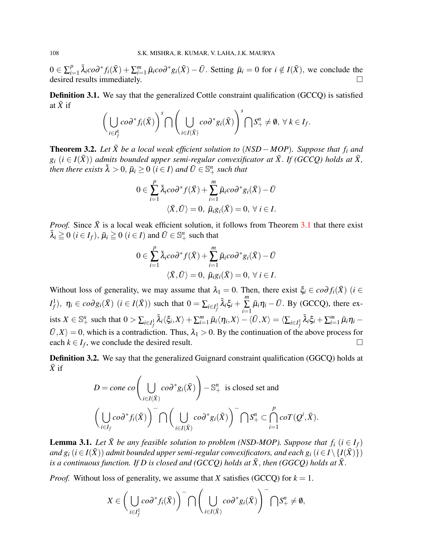$0 \in \sum_{i=1}^{p}$  ${}_{i=1}^p \bar{\lambda}_i$ *co*∂<sup>\*</sup> $f_i(\bar{X}) + \sum_{i=1}^m \bar{\mu}_i$ *co*∂<sup>\*</sup> $g_i(\bar{X}) - \bar{U}$ . Setting  $\bar{\mu}_i = 0$  for  $i \notin I(\bar{X})$ , we conclude the desired results immediately.

**Definition 3.1.** We say that the generalized Cottle constraint qualification (GCCQ) is satisfied at  $\bar{X}$  if

$$
\bigg(\bigcup_{i\in I_f^k} co\partial^* f_i(\bar{X})\bigg)^s\bigcap \bigg(\bigcup_{i\in I(\bar{X})} co\partial^* g_i(\bar{X})\bigg)^s\bigcap S^n_+\neq\emptyset,\ \forall\ k\in I_f.
$$

<span id="page-5-0"></span>**Theorem 3.2.** Let  $\bar{X}$  be a local weak efficient solution to (NSD – MOP). Suppose that  $f_i$  and  $g_i$  ( $i \in I(\bar{X})$ ) *admits bounded upper semi-regular convexificator at*  $\bar{X}$ . *If (GCCQ) holds at*  $\bar{X}$ , *then there exists*  $\bar{\lambda} > 0$ ,  $\bar{\mu}_i \geq 0$   $(i \in I)$  *and*  $\bar{U} \in \mathbb{S}^n_+$  *such that* 

$$
0 \in \sum_{i=1}^{p} \bar{\lambda}_i \cos^* f(\bar{X}) + \sum_{i=1}^{m} \bar{\mu}_i \cos^* g_i(\bar{X}) - \bar{U}
$$
  

$$
\langle \bar{X}, \bar{U} \rangle = 0, \ \bar{\mu}_i g_i(\bar{X}) = 0, \ \forall \ i \in I.
$$

*Proof.* Since  $\bar{X}$  is a local weak efficient solution, it follows from Theorem [3.1](#page-4-4) that there exist  $\bar{\lambda}_i \geq 0$   $(i \in I_f)$ ,  $\bar{\mu}_i \geq 0$   $(i \in I)$  and  $\bar{U} \in \mathbb{S}^n_+$  such that

$$
0 \in \sum_{i=1}^{p} \bar{\lambda}_{i} co \partial^* f(\bar{X}) + \sum_{i=1}^{m} \bar{\mu}_{i} co \partial^* g_i(\bar{X}) - \bar{U}
$$
  

$$
\langle \bar{X}, \bar{U} \rangle = 0, \ \bar{\mu}_{i} g_i(\bar{X}) = 0, \ \forall \ i \in I.
$$

Without loss of generality, we may assume that  $\lambda_1 = 0$ . Then, there exist  $\xi_i \in \alpha \partial f_i(\bar{X})$  (*i* ∈ *I*<sup>1</sup><sub>*f*</sub>),  $\eta_i \in co \partial g_i(\bar{X})$  (*i* ∈ *I*( $\bar{X}$ )) such that  $0 = \sum_{i \in I_f^1} \bar{\lambda}_i \xi_i + \sum_{i=1}^m \bar{\lambda}_i \xi_i$  $\sum_{i=1}$  $\bar{\mu}_i \eta_i - \bar{U}$ . By (GCCQ), there exists  $X \in \mathbb{S}^n_+$  such that  $0 > \sum_{i \in I_f^1} \bar{\lambda}_i \langle \xi_i, X \rangle + \sum_{i=1}^m \bar{\mu}_i \langle \eta_i, X \rangle - \langle \bar{U}, X \rangle = \langle \sum_{i \in I_f^1} \bar{\lambda}_i \xi_i + \sum_{i=1}^m \bar{\mu}_i \eta_i \langle \bar{U}, X \rangle = 0$ , which is a contradiction. Thus,  $\lambda_1 > 0$ . By the continuation of the above process for each  $k \in I_f$ , we conclude the desired result.

Definition 3.2. We say that the generalized Guignard constraint qualification (GGCQ) holds at  $\bar{X}$  if

$$
D = \text{cone } \text{co} \left( \bigcup_{i \in I(\bar{X})} \text{co} \partial^* g_i(\bar{X}) \right) - \mathbb{S}^n_+ \text{ is closed set and}
$$

$$
\left( \bigcup_{i \in I_f} \text{co} \partial^* f_i(\bar{X}) \right)^{-} \bigcap \left( \bigcup_{i \in I(\bar{X})} \text{co} \partial^* g_i(\bar{X}) \right)^{-} \bigcap \mathbb{S}^n_+ \subset \bigcap_{i=1}^p \text{co} \bigcap (\mathcal{Q}^i, \bar{X}).
$$

**Lemma 3.1.** Let  $\bar{X}$  be any feasible solution to problem (NSD-MOP). Suppose that  $f_i$   $(i \in I_f)$ *and*  $g_i$  ( $i \in I(\bar{X})$ ) *admit bounded upper semi-regular convexificators, and each*  $g_i$  ( $i \in I \setminus \{I(\bar{X})\}$ ) *is a continuous function. If D is closed and (GCCQ) holds at*  $\bar{X}$ , *then (GGCQ) holds at*  $\bar{X}$ .

*Proof.* Without loss of generality, we assume that *X* satisfies (GCCQ) for  $k = 1$ .

$$
X\in \bigg(\bigcup_{i\in I^1_f}co\partial^*f_i(\bar{X})\bigg)^{-}\bigcap \bigg(\bigcup_{i\in I(\bar{X})}co\partial^*g_i(\bar{X})\bigg)^{-}\bigcap S^n_+\neq\emptyset,
$$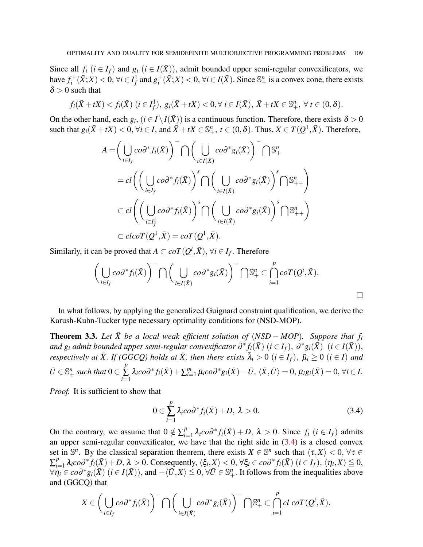Since all  $f_i$  ( $i \in I_f$ ) and  $g_i$  ( $i \in I(\bar{X})$ ), admit bounded upper semi-regular convexificators, we have  $f_i^+$ *i*<sup>+</sup>( $\bar{X}$ ; *X*) < 0,  $\forall i$  ∈  $I_f^1$  and  $g_i^+$  $i^+_{i}(\bar{X};X) < 0, \forall i \in I(\bar{X})$ . Since  $\mathbb{S}^n_+$  is a convex cone, there exists  $\delta > 0$  such that

$$
f_i(\bar{X} + tX) < f_i(\bar{X}) \ (i \in I_f^1), \ g_i(\bar{X} + tX) < 0, \forall \ i \in I(\bar{X}), \ \bar{X} + tX \in \mathbb{S}_+^n, \ \forall \ t \in (0, \delta).
$$

On the other hand, each  $g_i$ ,  $(i \in I \setminus I(\bar{X}))$  is a continuous function. Therefore, there exists  $\delta > 0$ such that  $g_i(\bar{X} + tX) < 0$ ,  $\forall i \in I$ , and  $\bar{X} + tX \in \mathbb{S}_{+}^n$ ,  $t \in (0, \delta)$ . Thus,  $X \in T(Q^1, \bar{X})$ . Therefore,

$$
A = \left(\bigcup_{i \in I_f} \cos^* f_i(\bar{X})\right)^{-} \bigcap \left(\bigcup_{i \in I(\bar{X})} \cos^* g_i(\bar{X})\right)^{-} \bigcap \mathbb{S}^n_+
$$
  
\n
$$
= cl\left(\left(\bigcup_{i \in I_f} \cos^* f_i(\bar{X})\right)^s \bigcap \left(\bigcup_{i \in I(\bar{X})} \cos^* g_i(\bar{X})\right)^s \bigcap \mathbb{S}^n_{++}\right)
$$
  
\n
$$
\subset cl\left(\left(\bigcup_{i \in I_f^1} \cos^* f_i(\bar{X})\right)^s \bigcap \left(\bigcup_{i \in I(\bar{X})} \cos^* g_i(\bar{X})\right)^s \bigcap \mathbb{S}^n_{++}\right)
$$
  
\n
$$
\subset clcoT(Q^1, \bar{X}) = coT(Q^1, \bar{X}).
$$

Similarly, it can be proved that  $A \subset coT(Q^i, \bar{X})$ ,  $\forall i \in I_f$ . Therefore

$$
\left(\bigcup_{i\in I_f} co\partial^* f_i(\bar X)\right)^{-}\bigcap \left(\bigcup_{i\in I(\bar X)} co\partial^* g_i(\bar X)\right)^{-}\bigcap \mathbb{S}^n_+ \subset \bigcap_{i=1}^p coT(Q^i,\bar X).
$$

In what follows, by applying the generalized Guignard constraint qualification, we derive the Karush-Kuhn-Tucker type necessary optimality conditions for (NSD-MOP).

<span id="page-6-1"></span>**Theorem 3.3.** Let  $\bar{X}$  be a local weak efficient solution of  $(NSD - MOP)$ . Suppose that  $f_i$  $i$  *and*  $g_i$  *admit bounded upper semi-regular convexificator*  $\partial^* f_i(\bar{X})$  $(i \in I_f), \ \partial^* g_i(\bar{X})$  $(i \in I(\bar{X})),$ *respectively at*  $\bar{X}$ *. If (GGCQ) holds at*  $\bar{X}$ *, then there exists*  $\bar{\lambda}_i > 0$  ( $i \in I_f$ ),  $\bar{\mu}_i \ge 0$  ( $i \in I$ ) and  $\bar{U} \in \mathbb{S}^n_+$  *such that*  $0 \in$ *p*  $\sum_{i=1}$  $\lambda_i co\partial^* f_i(\bar{X}) + \sum_{i=1}^m \bar{\mu}_i co\partial^* g_i(\bar{X}) - \bar{U}, \langle \bar{X}, \bar{U} \rangle = 0, \bar{\mu}_i g_i(\bar{X}) = 0, \forall i \in I.$ 

*Proof.* It is sufficient to show that

<span id="page-6-0"></span>
$$
0 \in \sum_{i=1}^{p} \lambda_i \cos^* f_i(\bar{X}) + D, \ \lambda > 0. \tag{3.4}
$$

On the contrary, we assume that  $0 \notin \sum_{i=1}^{p}$  $P_{i=1}^p \lambda_i co \partial^* f_i(\bar{X}) + D, \ \lambda > 0$ . Since  $f_i$  (*i* ∈ *I<sub>f</sub>*) admits an upper semi-regular convexificator, we have that the right side in  $(3.4)$  is a closed convex set in  $\mathbb{S}^n$ . By the classical separation theorem, there exists  $X \in \mathbb{S}^n$  such that  $\langle \tau, X \rangle < 0$ ,  $\forall \tau \in$  $\sum_{i=1}^{p}$  $\sum_{i=1}^p \lambda_i \cos^* f_i(\bar{X}) + D, \lambda > 0$ . Consequently,  $\langle \xi_i, X \rangle < 0, \forall \xi_i \in \cos^* f_i(\bar{X})$   $(i \in I_f), \langle \eta_i, X \rangle \leq 0$ ,  $\forall \overline{\eta_i} \in co\partial^* g_i(\overline{X}) \ (i \in I(\overline{X})),$  and  $-\langle \overline{U}, X \rangle \leq 0, \forall \overline{U} \in \mathbb{S}^n_+$ . It follows from the inequalities above and (GGCQ) that

$$
X\in \bigg(\bigcup_{i\in I_f}co\partial^*f_i(\bar{X})\bigg)^-\bigcap \bigg(\bigcup_{i\in I(\bar{X})}co\partial^*g_i(\bar{X})\bigg)^-\bigcap \mathbb{S}^n_+\subset \bigcap_{i=1}^p cl\;coT\big(\mathcal{Q}^i,\bar{X}\big).
$$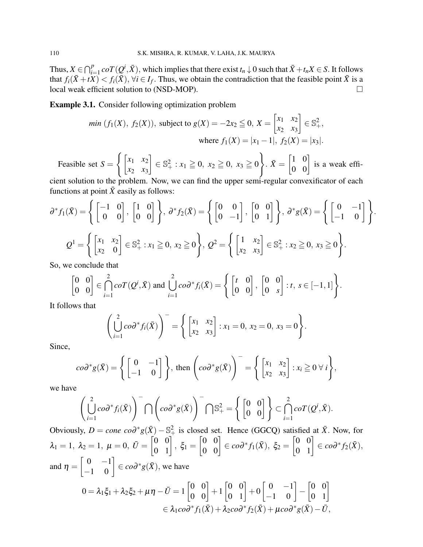Thus,  $X \in \bigcap_{i=1}^p coT(Q^i, \bar{X})$ , which implies that there exist  $t_n \downarrow 0$  such that  $\bar{X} + t_n X \in S$ . It follows that  $f_i(\bar{X}+tX) < f_i(\bar{X})$ ,  $\forall i \in I_f$ . Thus, we obtain the contradiction that the feasible point  $\bar{X}$  is a local weak efficient solution to (NSD-MOP).

Example 3.1. Consider following optimization problem

min 
$$
(f_1(X), f_2(X))
$$
, subject to  $g(X) = -2x_2 \le 0$ ,  $X = \begin{bmatrix} x_1 & x_2 \ x_2 & x_3 \end{bmatrix} \in \mathbb{S}^2_+$ ,  
where  $f_1(X) = |x_1 - 1|$ ,  $f_2(X) = |x_3|$ .

Feasible set  $S =$  $\int [x_1 \ x_2$ *x*<sup>2</sup> *x*<sup>3</sup>  $\Big] \in \mathbb{S}^2_+ : x_1 \geqq 0, x_2 \geqq 0, x_3 \geqq 0$  $\mathcal{L}$ .  $\bar{X} = \begin{bmatrix} 1 & 0 \\ 0 & 0 \end{bmatrix}$  is a weak effi-

cient solution to the problem. Now, we can find the upper semi-regular convexificator of each functions at point  $\bar{X}$  easily as follows:

$$
\partial^* f_1(\bar{X}) = \left\{ \begin{bmatrix} -1 & 0 \\ 0 & 0 \end{bmatrix}, \begin{bmatrix} 1 & 0 \\ 0 & 0 \end{bmatrix} \right\}, \ \partial^* f_2(\bar{X}) = \left\{ \begin{bmatrix} 0 & 0 \\ 0 & -1 \end{bmatrix}, \begin{bmatrix} 0 & 0 \\ 0 & 1 \end{bmatrix} \right\}, \ \partial^* g(\bar{X}) = \left\{ \begin{bmatrix} 0 & -1 \\ -1 & 0 \end{bmatrix} \right\}.
$$

$$
Q^1 = \left\{ \begin{bmatrix} x_1 & x_2 \\ x_2 & 0 \end{bmatrix} \in \mathbb{S}_+^2 : x_1 \ge 0, \ x_2 \ge 0 \right\}, \ Q^2 = \left\{ \begin{bmatrix} 1 & x_2 \\ x_2 & x_3 \end{bmatrix} \in \mathbb{S}_+^2 : x_2 \ge 0, \ x_3 \ge 0 \right\}.
$$

So, we conclude that

$$
\begin{bmatrix} 0 & 0 \\ 0 & 0 \end{bmatrix} \in \bigcap_{i=1}^{2} coT(Q^i, \bar{X}) \text{ and } \bigcup_{i=1}^{2} co\partial^* f_i(\bar{X}) = \left\{ \begin{bmatrix} t & 0 \\ 0 & 0 \end{bmatrix}, \begin{bmatrix} 0 & 0 \\ 0 & s \end{bmatrix} : t, s \in [-1, 1] \right\}.
$$

It follows that

$$
\left(\bigcup_{i=1}^{2} \cos^{*} f_{i}(\bar{X})\right)^{-} = \left\{\begin{bmatrix} x_{1} & x_{2} \\ x_{2} & x_{3} \end{bmatrix} : x_{1} = 0, x_{2} = 0, x_{3} = 0\right\}.
$$

Since,

$$
co\partial^* g(\bar{X}) = \left\{ \begin{bmatrix} 0 & -1 \\ -1 & 0 \end{bmatrix} \right\}, \text{ then } \left( co\partial^* g(\bar{X}) \right)^{-} = \left\{ \begin{bmatrix} x_1 & x_2 \\ x_2 & x_3 \end{bmatrix} : x_i \geq 0 \ \forall i \right\},\
$$

we have

$$
\left(\bigcup_{i=1}^{2} \cos^* f_i(\bar{X})\right)^{-} \bigcap \left(\cos^* g(\bar{X})\right)^{-} \bigcap \mathbb{S}_+^2 = \left\{ \begin{bmatrix} 0 & 0 \\ 0 & 0 \end{bmatrix} \right\} \subset \bigcap_{i=1}^{2} \cot^2(Q^i, \bar{X}).
$$

Obviously,  $D = cone \, cod^*g(\bar{X}) - \mathbb{S}^2_+$  is closed set. Hence (GGCQ) satisfied at  $\bar{X}$ . Now, for  $\lambda_1=1,~\lambda_2=1,~\mu=0,~\bar{U}=\begin{bmatrix} 0 & 0 \ 0 & 1 \end{bmatrix},~\xi_1=0$  $\begin{bmatrix} 0 & 0 \\ 0 & 0 \end{bmatrix} \in co\partial^* f_1(\bar{X}), \; \xi_2 = \begin{bmatrix} 0 & 0 \\ 0 & 1 \end{bmatrix} \in co\partial^* f_2(\bar{X}),$ and  $\eta =$  $\begin{bmatrix} 0 & -1 \\ -1 & 0 \end{bmatrix} \in co\partial^* g(\bar{X}),$  we have  $0 = \lambda_1 \xi_1 + \lambda_2 \xi_2 + \mu \eta - \bar{U} = 1 \begin{bmatrix} 0 & 0 \ 0 & 0 \end{bmatrix} + 1$  $\begin{bmatrix} 0 & 0 \\ 0 & 1 \end{bmatrix} + 0$  $\begin{bmatrix} 0 & -1 \\ -1 & 0 \end{bmatrix}$  $\begin{bmatrix} 0 & 0 \\ 0 & 1 \end{bmatrix}$ 

 $\epsilon \in \lambda_1$ *co* $\partial^* f_1(\bar{X}) + \lambda_2$ *co* $\partial^* f_2(\bar{X}) + \mu$ *co* $\partial^* g(\bar{X}) - \bar{U}$ ,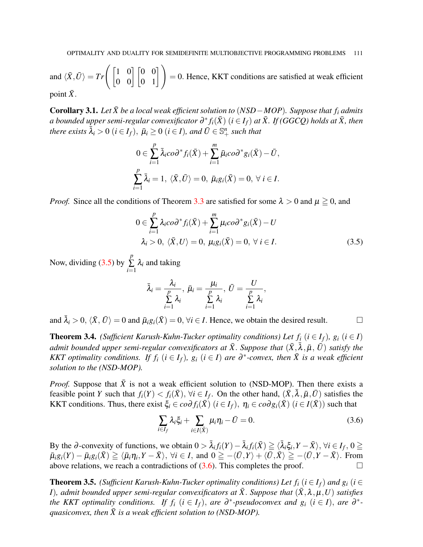and  $\langle \bar{X}, \bar{U} \rangle = Tr \begin{pmatrix} 1 & 0 \\ 0 & 0 \end{pmatrix} \begin{bmatrix} 0 & 0 \\ 0 & 1 \end{bmatrix} = 0$ . Hence, KKT conditions are satisfied at weak efficient

point  $\bar{X}$ .

Corollary 3.1. Let  $\bar{X}$  be a local weak efficient solution to (*NSD*−*MOP*). Suppose that  $f_i$  admits  $a$  bounded upper semi-regular convexificator  $\partial^* f_i(\bar{X})$   $(i \in I_f)$  at  $\bar{X}$ . If (GGCQ) holds at  $\bar{X}$ , then *<i>here exists*  $\bar{\lambda}_i > 0$   $(i \in I_f)$ ,  $\bar{\mu}_i \geq 0$   $(i \in I)$ *, and*  $\bar{U} \in \mathbb{S}^n_+$  *such that* 

$$
0 \in \sum_{i=1}^{p} \bar{\lambda}_i \cos^* f_i(\bar{X}) + \sum_{i=1}^{m} \bar{\mu}_i \cos^* g_i(\bar{X}) - \bar{U},
$$
  

$$
\sum_{i=1}^{p} \bar{\lambda}_i = 1, \langle \bar{X}, \bar{U} \rangle = 0, \ \bar{\mu}_i g_i(\bar{X}) = 0, \ \forall \ i \in I.
$$

*Proof.* Since all the conditions of Theorem [3.3](#page-6-1) are satisfied for some  $\lambda > 0$  and  $\mu \ge 0$ , and

$$
0 \in \sum_{i=1}^{p} \lambda_i \cos^* f_i(\bar{X}) + \sum_{i=1}^{m} \mu_i \cos^* g_i(\bar{X}) - U
$$
  

$$
\lambda_i > 0, \langle \bar{X}, U \rangle = 0, \mu_i g_i(\bar{X}) = 0, \forall i \in I.
$$
 (3.5)

Now, dividing [\(3.5\)](#page-8-0) by *p*  $\sum_{i=1}$  $\lambda_i$  and taking

<span id="page-8-0"></span>
$$
\bar{\lambda}_i = \frac{\lambda_i}{\sum\limits_{i=1}^p \lambda_i}, \ \bar{\mu}_i = \frac{\mu_i}{\sum\limits_{i=1}^p \lambda_i}, \ \bar{U} = \frac{U}{\sum\limits_{i=1}^p \lambda_i},
$$

and  $\bar{\lambda}_i > 0$ ,  $\langle \bar{X}, \bar{U} \rangle = 0$  and  $\bar{\mu}_i g_i(\bar{X}) = 0$ ,  $\forall i \in I$ . Hence, we obtain the desired result.

**Theorem 3.4.** *(Sufficient Karush-Kuhn-Tucker optimality conditions) Let*  $f_i$  *(* $i \in I_f$ *),*  $g_i$  *(* $i \in I$ *)*  $a$ dmit bounded upper semi-regular convexificators at  $\bar{X}.$  Suppose that  $(\bar{X},\bar{\lambda},\bar{\mu},$   $\bar{U})$  satisfy the *KKT optimality conditions. If*  $f_i$  *(* $i \in I_f$ *),*  $g_i$  *(* $i \in I$ *) <i>are*  $\partial^*$ -convex, then  $\overline{X}$  is a weak efficient *solution to the (NSD-MOP).*

*Proof.* Suppose that  $\bar{X}$  is not a weak efficient solution to (NSD-MOP). Then there exists a feasible point *Y* such that  $f_i(Y) < f_i(\bar{X})$ ,  $\forall i \in I_f$ . On the other hand,  $(\bar{X}, \bar{\lambda}, \bar{\mu}, \bar{U})$  satisfies the KKT conditions. Thus, there exist  $\xi_i \in \text{cod} f_i(\overline{X})$  ( $i \in I_f$ ),  $\eta_i \in \text{cod} g_i(\overline{X})$  ( $i \in I(\overline{X})$ ) such that

<span id="page-8-1"></span>
$$
\sum_{i \in I_f} \lambda_i \xi_i + \sum_{i \in I(\bar{X})} \mu_i \eta_i - \bar{U} = 0.
$$
\n(3.6)

By the ∂-convexity of functions, we obtain  $0 > \bar{\lambda}_i f_i(Y) - \bar{\lambda}_i f_i(\bar{X}) \geq \langle \bar{\lambda}_i \xi_i, Y - \bar{X} \rangle$ ,  $\forall i \in I_f$ ,  $0 \geq$  $\overline{\mu}_i g_i(Y) - \overline{\mu}_i g_i(\overline{X}) \geq \langle \overline{\mu}_i \eta_i, Y - \overline{X} \rangle, \ \forall i \in I, \text{ and } 0 \geq -\langle \overline{U}, Y \rangle + \langle \overline{U}, \overline{X} \rangle \geq -\langle \overline{U}, Y - \overline{X} \rangle.$  From above relations, we reach a contradictions of  $(3.6)$ . This completes the proof.

**Theorem 3.5.** *(Sufficient Karush-Kuhn-Tucker optimality conditions) Let*  $f_i$  *(* $i \in I_f$ *) and*  $g_i$  *(* $i \in I_f$ *) I*), admit bounded upper semi-regular convexificators at  $\bar{X}$ . Suppose that  $(\bar{X}, \lambda, \mu, U)$  satisfies *the KKT optimality conditions. If*  $f_i$  *(* $i \in I_f$ *), are*  $\partial^*$ *-pseudoconvex and*  $g_i$  *(* $i \in I$ *), are*  $\partial^*$ *quasiconvex, then*  $\bar{X}$  *is a weak efficient solution to (NSD-MOP).*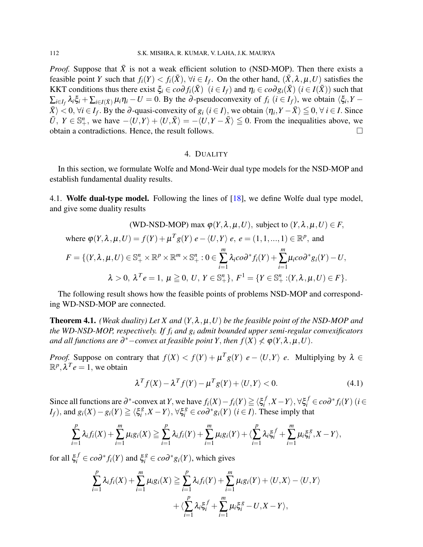*Proof.* Suppose that  $\bar{X}$  is not a weak efficient solution to (NSD-MOP). Then there exists a feasible point *Y* such that  $f_i(Y) < f_i(\bar{X})$ ,  $\forall i \in I_f$ . On the other hand,  $(\bar{X}, \lambda, \mu, U)$  satisfies the KKT conditions thus there exist  $\xi_i \in \text{cod} f_i(\bar{X})$  ( $i \in I_f$ ) and  $\eta_i \in \text{cod} g_i(\bar{X})$  ( $i \in I(\bar{X})$ ) such that  $\sum_{i\in I_f} \lambda_i \xi_i + \sum_{i\in I(\bar{X})} \mu_i \eta_i - U = 0$ . By the ∂-pseudoconvexity of  $f_i$  ( $i \in I_f$ ), we obtain  $\langle \xi_i, Y - U \rangle$  $\langle \bar{X} \rangle < 0$ ,  $\forall i \in I_f$ . By the ∂-quasi-convexity of  $g_i$   $(i \in I)$ , we obtain  $\langle \eta_i, Y - \bar{X} \rangle \leq 0$ ,  $\forall i \in I$ . Since  $\overline{U}$ ,  $Y \in \mathbb{S}_{+}^{n}$ , we have  $-\langle U, Y \rangle + \langle U, \overline{X} \rangle = -\langle U, Y - \overline{X} \rangle \leq 0$ . From the inequalities above, we obtain a contradictions. Hence, the result follows.

#### 4. DUALITY

<span id="page-9-0"></span>In this section, we formulate Wolfe and Mond-Weir dual type models for the NSD-MOP and establish fundamental duality results.

4.1. **Wolfe dual-type model.** Following the lines of [\[18\]](#page-15-1), we define Wolfe dual type model, and give some duality results

(WD-NSD-MOP) max 
$$
\varphi(Y, \lambda, \mu, U)
$$
, subject to  $(Y, \lambda, \mu, U) \in F$ ,  
where  $\varphi(Y, \lambda, \mu, U) = f(Y) + \mu^T g(Y) e - \langle U, Y \rangle e$ ,  $e = (1, 1, ..., 1) \in \mathbb{R}^p$ , and  

$$
F = \{(Y, \lambda, \mu, U) \in \mathbb{S}_+^n \times \mathbb{R}^p \times \mathbb{R}^m \times \mathbb{S}_+^n : 0 \in \sum_{i=1}^m \lambda_i c \circ \partial^* f_i(Y) + \sum_{i=1}^m \mu_i c \circ \partial^* g_i(Y) - U,
$$

$$
\lambda > 0, \ \lambda^T e = 1, \ \mu \ge 0, \ U, \ Y \in \mathbb{S}_+^n\}, \ F^1 = \{Y \in \mathbb{S}_+^n : (Y, \lambda, \mu, U) \in F\}.
$$

The following result shows how the feasible points of problems NSD-MOP and corresponding WD-NSD-MOP are connected.

<span id="page-9-2"></span>Theorem 4.1. *(Weak duality) Let X and* (*Y*,λ,µ,*U*) *be the feasible point of the NSD-MOP and the WD-NSD-MOP, respectively. If f<sup>i</sup> and g<sup>i</sup> admit bounded upper semi-regular convexificators and all functions are*  $\partial^*$ *−convex at feasible point Y, then*  $f(X)$  $\not\leq$  $\varphi(Y, \lambda, \mu, U)$ *.* 

*Proof.* Suppose on contrary that  $f(X) < f(Y) + \mu^T g(Y)$  *e* -  $\langle U, Y \rangle$  *e*. Multiplying by  $\lambda \in$  $\mathbb{R}^p, \lambda^T e = 1$ , we obtain

<span id="page-9-1"></span>
$$
\lambda^T f(X) - \lambda^T f(Y) - \mu^T g(Y) + \langle U, Y \rangle < 0. \tag{4.1}
$$

Since all functions are  $\partial^*$ -convex at *Y*, we have  $f_i(X) - f_i(Y) \ge \langle \xi_i^f \rangle$  $\langle f, X - Y \rangle$ , ∀ξ $f$ <sup>f</sup> ∈ *co*∂\*  $f$ <sup>*i*</sup>(*Y*) (*i* ∈ *I*<sub>*f*</sub>), and  $g_i(X) - g_i(Y) \ge \zeta \xi_i^g$  $\langle g_i^g, X - Y \rangle$ ,  $\forall \xi_i^g \in co\partial^* g_i(Y)$  (*i* ∈ *I*). These imply that

$$
\sum_{i=1}^p \lambda_i f_i(X) + \sum_{i=1}^m \mu_i g_i(X) \geq \sum_{i=1}^p \lambda_i f_i(Y) + \sum_{i=1}^m \mu_i g_i(Y) + \langle \sum_{i=1}^p \lambda_i \xi_i^f + \sum_{i=1}^m \mu_i \xi_i^g, X - Y \rangle,
$$

for all  $\xi_i^f \in co\partial^* f_i(Y)$  and  $\xi_i^g \in co\partial^* g_i(Y)$ , which gives

$$
\sum_{i=1}^p \lambda_i f_i(X) + \sum_{i=1}^m \mu_i g_i(X) \ge \sum_{i=1}^p \lambda_i f_i(Y) + \sum_{i=1}^m \mu_i g_i(Y) + \langle U, X \rangle - \langle U, Y \rangle
$$
  
+ 
$$
\langle \sum_{i=1}^p \lambda_i \xi_i^f + \sum_{i=1}^m \mu_i \xi_i^g - U, X - Y \rangle,
$$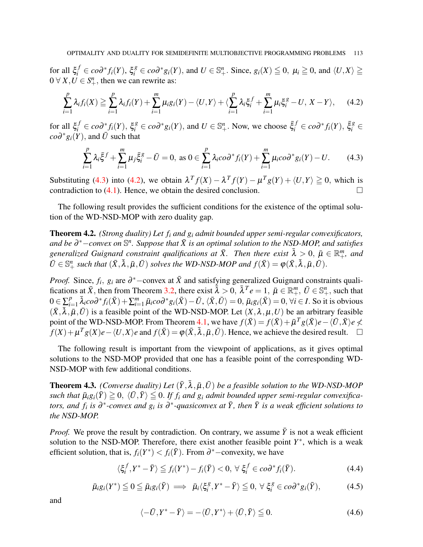for all  $\xi_i^f \in co\partial^* f_i(Y)$ ,  $\xi_i^g \in co\partial^* g_i(Y)$ , and  $U \in \mathbb{S}_+^n$ . Since,  $g_i(X) \leqq 0$ ,  $\mu_i \geqq 0$ , and  $\langle U, X \rangle \geqq$  $0 \forall X, U \in S^n_+$ , then we can rewrite as:

<span id="page-10-1"></span>
$$
\sum_{i=1}^p \lambda_i f_i(X) \geq \sum_{i=1}^p \lambda_i f_i(Y) + \sum_{i=1}^m \mu_i g_i(Y) - \langle U, Y \rangle + \langle \sum_{i=1}^p \lambda_i \xi_i^f + \sum_{i=1}^m \mu_i \xi_i^g - U, X - Y \rangle, \quad (4.2)
$$

for all  $\xi_i^f \in co\partial^* f_i(Y)$ ,  $\xi_i^g \in co\partial^* g_i(Y)$ , and  $U \in \mathbb{S}^n_+$ . Now, we choose  $\xi_i^f \in co\partial^* f_i(Y)$ ,  $\xi_i^g \in$  $co\partial^* g_i(Y)$ , and  $\overline{U}$  such that

<span id="page-10-0"></span>
$$
\sum_{i=1}^{p} \lambda_i \bar{\xi}^f + \sum_{i=1}^{m} \mu_j \bar{\xi}_i^g - \bar{U} = 0, \text{ as } 0 \in \sum_{i=1}^{p} \lambda_i \cos^* f_i(Y) + \sum_{i=1}^{m} \mu_i \cos^* g_i(Y) - U. \tag{4.3}
$$

Substituting [\(4.3\)](#page-10-0) into [\(4.2\)](#page-10-1), we obtain  $\lambda^T f(X) - \lambda^T f(Y) - \mu^T g(Y) + \langle U, Y \rangle \ge 0$ , which is contradiction to  $(4.1)$ . Hence, we obtain the desired conclusion.

The following result provides the sufficient conditions for the existence of the optimal solution of the WD-NSD-MOP with zero duality gap.

Theorem 4.2. *(Strong duality) Let f<sup>i</sup> and g<sup>i</sup> admit bounded upper semi-regular convexificators,* and be  $\partial^*$ −convex on  $\mathbb{S}^n$ . Suppose that  $\bar{X}$  is an optimal solution to the NSD-MOP, and satisfies *generalized Guignard constraint qualifications at*  $\bar{X}$ . Then there exist  $\bar{\lambda} > 0$ ,  $\bar{\mu} \in \mathbb{R}^m_+$ , and  $\bar{U} \in \mathbb{S}_{+}^{n}$  *such that*  $(\bar{X}, \bar{\lambda}, \bar{\mu}, \bar{U})$  *solves the WD-NSD-MOP and*  $f(\bar{X}) = \varphi(\bar{X}, \bar{\lambda}, \bar{\mu}, \bar{U})$ .

*Proof.* Since,  $f_i$ ,  $g_i$  are  $\partial^*$  –convex at  $\bar{X}$  and satisfying generalized Guignard constraints qualifications at  $\bar{X}$ , then from Theorem [3.2,](#page-5-0) there exist  $\bar{\lambda} > 0$ ,  $\bar{\lambda}^T e = 1$ ,  $\bar{\mu} \in \mathbb{R}^m_+$ ,  $\bar{U} \in \mathbb{S}^n_+$ , such that  $0 \in \sum_{i=1}^{p}$  $_{i=1}^p\bar{\lambda}_ico\partial^*f_i(\bar{X})+\sum_{i=1}^m\bar{\mu}_ico\partial^*g_i(\bar{X})-\bar{U},\,\langle\bar{X},\bar{U}\rangle=0,\,\bar{\mu}_ig_i(\bar{X})=0,\,\forall i\in I.$  So it is obvious  $(\bar{X}, \bar{\lambda}, \bar{\mu}, \bar{U})$  is a feasible point of the WD-NSD-MOP. Let  $(X, \lambda, \mu, U)$  be an arbitrary feasible point of the WD-NSD-MOP. From Theorem [4.1,](#page-9-2) we have  $f(\bar{X}) = f(\bar{X}) + \bar{\mu}^T g(\bar{X})e - \langle \bar{U}, \bar{X} \rangle e \not\prec$  $f(X) + \mu^T g(X) e - \langle U, X \rangle e$  and  $f(\bar{X}) = \varphi(\bar{X}, \bar{\lambda}, \bar{\mu}, \bar{U})$ . Hence, we achieve the desired result.  $\square$ 

The following result is important from the viewpoint of applications, as it gives optimal solutions to the NSD-MOP provided that one has a feasible point of the corresponding WD-NSD-MOP with few additional conditions.

<span id="page-10-5"></span>**Theorem 4.3.** *(Converse duality)* Let  $(\bar{Y}, \bar{\lambda}, \bar{\mu}, \bar{U})$  *be a feasible solution to the WD-NSD-MOP such that*  $\bar{\mu}_i g_i(\bar{Y}) \geq 0$ ,  $\langle \bar{U}, \bar{Y} \rangle \leq 0$ . If  $f_i$  and  $g_i$  admit bounded upper semi-regular convexifica*tors, and f<sub>i</sub> is*  $\partial^*$ *-convex and*  $g_i$  *is*  $\partial^*$ *-quasiconvex at*  $\bar{Y}$ *, then*  $\bar{Y}$  *is a weak efficient solutions to the NSD-MOP.*

*Proof.* We prove the result by contradiction. On contrary, we assume  $\bar{Y}$  is not a weak efficient solution to the NSD-MOP. Therefore, there exist another feasible point  $Y^*$ , which is a weak efficient solution, that is,  $f_i(Y^*) < f_i(\overline{Y})$ . From  $\partial^*$  – convexity, we have

<span id="page-10-2"></span>
$$
\langle \xi_i^f, Y^* - \bar{Y} \rangle \leqq f_i(Y^*) - f_i(\bar{Y}) < 0, \ \forall \ \xi_i^f \in co\partial^* f_i(\bar{Y}). \tag{4.4}
$$

<span id="page-10-3"></span>
$$
\bar{\mu}_i g_i(Y^*) \leq 0 \leq \bar{\mu}_i g_i(\bar{Y}) \implies \bar{\mu}_i \langle \xi_i^g, Y^* - \bar{Y} \rangle \leq 0, \ \forall \ \xi_i^g \in co \partial^* g_i(\bar{Y}), \tag{4.5}
$$

and

<span id="page-10-4"></span>
$$
\langle -\bar{U}, Y^* - \bar{Y} \rangle = -\langle \bar{U}, Y^* \rangle + \langle \bar{U}, \bar{Y} \rangle \leq 0. \tag{4.6}
$$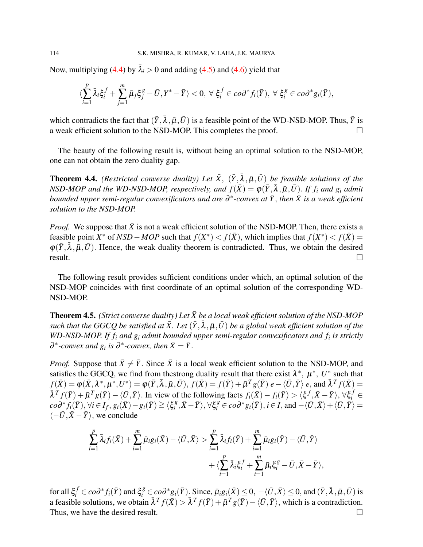Now, multiplying [\(4.4\)](#page-10-2) by  $\bar{\lambda}_i > 0$  and adding [\(4.5\)](#page-10-3) and [\(4.6\)](#page-10-4) yield that

$$
\langle \sum_{i=1}^p \bar{\lambda}_i \xi_i^f + \sum_{j=1}^m \bar{\mu}_j \xi_j^g - \bar{U}, Y^* - \bar{Y} \rangle < 0, \ \forall \ \xi_i^f \in co\partial^* f_i(\bar{Y}), \ \forall \ \xi_i^g \in co\partial^* g_i(\bar{Y}),
$$

which contradicts the fact that  $(\bar{Y}, \bar{\lambda}, \bar{\mu}, \bar{U})$  is a feasible point of the WD-NSD-MOP. Thus,  $\bar{Y}$  is a weak efficient solution to the NSD-MOP. This completes the proof.  $\Box$ 

The beauty of the following result is, without being an optimal solution to the NSD-MOP, one can not obtain the zero duality gap.

**Theorem 4.4.** *(Restricted converse duality) Let*  $\bar{X}$ *,*  $(\bar{Y}, \bar{\lambda}, \bar{\mu}, \bar{U})$  *be feasible solutions of the NSD-MOP and the WD-NSD-MOP, respectively, and*  $f(\bar{X}) = \varphi(\bar{Y}, \bar{\lambda}, \bar{\mu}, \bar{U})$ *. If*  $f_i$  *and*  $g_i$  *admit bounded upper semi-regular convexificators and are*  $\partial^*$ *-convex at*  $\bar{Y},$  *then*  $\bar{X}$  *is a weak efficient solution to the NSD-MOP.*

*Proof.* We suppose that  $\bar{X}$  is not a weak efficient solution of the NSD-MOP. Then, there exists a feasible point *X*<sup>\*</sup> of *NSD* − *MOP* such that  $f(X^*) < f(\bar{X})$ , which implies that  $f(X^*) < f(\bar{X})$  =  $\varphi(\bar{Y}, \bar{\lambda}, \bar{\mu}, \bar{U})$ . Hence, the weak duality theorem is contradicted. Thus, we obtain the desired  $\Box$  result.

The following result provides sufficient conditions under which, an optimal solution of the NSD-MOP coincides with first coordinate of an optimal solution of the corresponding WD-NSD-MOP.

**Theorem 4.5.** *(Strict converse duality) Let*  $\bar{X}$  *be a local weak efficient solution of the NSD-MOP*  $s$ uch that the GGCQ be satisfied at  $\bar{X}$ . Let  $(\bar{Y},\bar{\lambda},\bar{\mu},\bar{U})$  be a global weak efficient solution of the *WD-NSD-MOP. If f<sup>i</sup> and g<sup>i</sup> admit bounded upper semi-regular convexificators and f<sup>i</sup> is strictly*  $\partial^*$ -convex and  $g_i$  is  $\partial^*$ -convex, then  $\bar{X} = \bar{Y}$ .

*Proof.* Suppose that  $\bar{X} \neq \bar{Y}$ . Since  $\bar{X}$  is a local weak efficient solution to the NSD-MOP, and satisfies the GGCQ, we find from thestrong duality result that there exist  $\lambda^*, \mu^*, U^*$  such that  $f(\bar{X}) = \varphi(\bar{X}, \lambda^*, \mu^*, U^*) = \varphi(\bar{Y}, \bar{\lambda}, \bar{\mu}, \bar{U}),$   $f(\bar{X}) = f(\bar{Y}) + \bar{\mu}^T g(\bar{Y}) e - \langle \bar{U}, \bar{Y} \rangle e$ , and  $\bar{\lambda}^T f(\bar{X}) =$  $\bar{\lambda}^T f(\bar{Y}) + \bar{\mu}^T g(\bar{Y}) - \langle \bar{U}, \bar{Y} \rangle$ . In view of the following facts  $f_i(\bar{X}) - f_i(\bar{Y}) > \langle \xi^f, \bar{X} - \bar{Y} \rangle, \forall \xi_i^f \in$  $co\partial^* f_i(\bar{Y}), \forall i \in I_f, g_i(\bar{X})-g_i(\bar{Y}) \geqq \langle \xi_i^g \rangle$  $\langle \overline{B}, \overline{X} - \overline{Y} \rangle$ ,  $\forall \xi_i^g \in co \partial^* g_i(\overline{Y})$ ,  $i \in I$ , and  $-\langle \overline{U}, \overline{X} \rangle + \langle \overline{U}, \overline{\overline{Y}} \rangle =$  $\langle -\bar{U}, \bar{X} - \bar{Y} \rangle$ , we conclude

$$
\sum_{i=1}^p \bar{\lambda}_i f_i(\bar{X}) + \sum_{i=1}^m \bar{\mu}_i g_i(\bar{X}) - \langle \bar{U}, \bar{X} \rangle > \sum_{i=1}^p \bar{\lambda}_i f_i(\bar{Y}) + \sum_{i=1}^m \bar{\mu}_i g_i(\bar{Y}) - \langle \bar{U}, \bar{Y} \rangle + \langle \sum_{i=1}^p \bar{\lambda}_i \xi_i^f + \sum_{i=1}^m \bar{\mu}_i \xi_i^g - \bar{U}, \bar{X} - \bar{Y} \rangle,
$$

for all  $\xi_i^f \in co\partial^* f_i(\bar{Y})$  and  $\xi_i^g \in co\partial^* g_i(\bar{Y})$ . Since,  $\bar{\mu}_i g_i(\bar{X}) \leq 0$ ,  $-\langle \bar{U}, \bar{X} \rangle \leq 0$ , and  $(\bar{Y}, \bar{\lambda}, \bar{\mu}, \bar{U})$  is a feasible solutions, we obtain  $\bar{\lambda}^T f(\bar{X}) > \bar{\lambda}^T f(\bar{Y}) + \bar{\mu}^T g(\bar{Y}) - \langle \bar{U}, \bar{Y} \rangle$ , which is a contradiction. Thus, we have the desired result.  $\Box$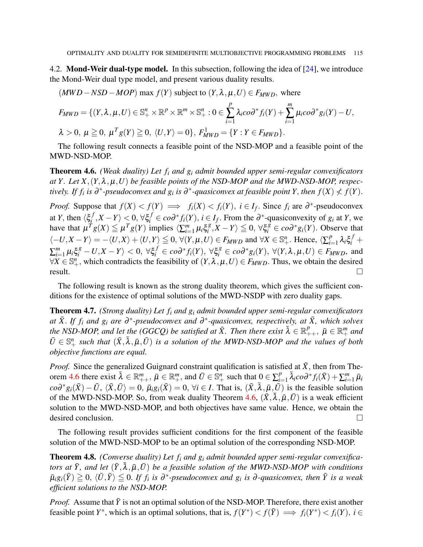4.2. **Mond-Weir dual-type model.** In this subsection, following the idea of  $[24]$ , we introduce the Mond-Weir dual type model, and present various duality results.

$$
(MWD-NSD-MOP) \text{ max } f(Y) \text{ subject to } (Y, \lambda, \mu, U) \in F_{MWD}, \text{ where}
$$
  

$$
F_{MWD} = \{(Y, \lambda, \mu, U) \in \mathbb{S}^n_+ \times \mathbb{R}^p \times \mathbb{R}^m \times \mathbb{S}^n_+ : 0 \in \sum_{i=1}^p \lambda_i \cos^* f_i(Y) + \sum_{i=1}^m \mu_i \cos^* g_i(Y) - U,
$$
  

$$
\lambda > 0, \mu \ge 0, \mu^T g(Y) \ge 0, \langle U, Y \rangle = 0 \}, F_{MWD}^1 = \{Y : Y \in F_{MWD}\}.
$$

The following result connects a feasible point of the NSD-MOP and a feasible point of the MWD-NSD-MOP.

<span id="page-12-0"></span>Theorem 4.6. *(Weak duality) Let f<sup>i</sup> and g<sup>i</sup> admit bounded upper semi-regular convexificators at Y. Let X*,  $(Y, \lambda, \mu, U)$  *be feasible points of the NSD-MOP and the MWD-NSD-MOP, respectively.* If  $f_i$  is  $\partial^*$ -pseudoconvex and  $g_i$  is  $\partial^*$ -quasiconvex at feasible point Y, then  $f(X) \nleq f(Y)$ .

*Proof.* Suppose that  $f(X) < f(Y) \implies f_i(X) < f_i(Y)$ ,  $i \in I_f$ . Since  $f_i$  are  $\partial^*$ -pseudoconvex at *Y*, then  $\langle \xi_i^f \rangle$  $\langle f, X - Y \rangle$  < 0, ∀ $\xi_i^f$  ∈ *co∂* \* *f*<sub>*i*</sub>(*Y*), *i* ∈ *I<sub>f</sub>*. From the ∂<sup>\*</sup>-quasiconvexity of *g<sub>i</sub>* at *Y*, we have that  $\mu^T g(X) \leq \mu^T g(Y)$  implies  $\langle \sum_{i=1}^m \mu_i \xi_i^g \rangle$  $\langle g, X - Y \rangle \leq 0, \forall \xi_i^{\overline{g}} \in co\partial^* g_i(Y)$ . Observe that  $\langle -U, X - Y \rangle = -\langle U, X \rangle + \langle U, Y \rangle \leq 0$ ,  $\forall (Y, \mu, U) \in F_{MWD}$  and  $\forall X \in \mathbb{S}_{+}^{n}$ . Hence,  $\langle \sum_{i=1}^{p} \rangle$  $P_{i=1}^p \lambda_i \xi_i^f +$  $\sum_{i=1}^m \mu_i \xi_i^g - U, X - Y \rangle < 0, \ \forall \xi_i^f \in co\partial^* f_i(Y), \ \forall \xi_i^g \in co\partial^* g_i(Y), \ \forall (Y, \lambda, \mu, U) \in F_{MWD},$  and  $\forall X \in \mathbb{S}_{+}^{n}$ , which contradicts the feasibility of  $(Y, \lambda, \mu, U) \in F_{MWD}$ . Thus, we obtain the desired  $r$ esult.

The following result is known as the strong duality theorem, which gives the sufficient conditions for the existence of optimal solutions of the MWD-NSDP with zero duality gaps.

Theorem 4.7. *(Strong duality) Let f<sup>i</sup> and g<sup>i</sup> admit bounded upper semi-regular convexificators*  $a$ *t*  $\bar{X}$ . *If*  $f_i$  *and*  $g_i$  *are*  $\partial^*$ -*pseudoconvex and*  $\partial^*$ -*quasiconvex, respectively, at*  $\bar{X}$ *, which solves the NSD-MOP, and let the (GGCQ) be satisfied at*  $\bar{X}$ *. Then there exist*  $\bar{\lambda} \in \mathbb{R}_{++}^p$ ,  $\bar{\mu} \in \mathbb{R}_{+}^m$  and  $\bar{U} \in \mathbb{S}^n_+$  *such that*  $(\bar{X}, \bar{\lambda}, \bar{\mu}, \bar{U})$  *is a solution of the MWD-NSD-MOP and the values of both objective functions are equal.*

*Proof.* Since the generalized Guignard constraint qualification is satisfied at  $\bar{X}$ , then from The-orem [4.6](#page-12-0) there exist  $\bar{\lambda} \in \mathbb{R}_{++}^m$ ,  $\bar{\mu} \in \mathbb{R}_{++}^m$ , and  $\bar{U} \in \mathbb{S}_{+}^n$  such that  $0 \in \sum_{i=1}^p$ *n*<sup>*n*</sup></sup><sub>*i*=1</sub>  $\bar{\lambda}_i$ *co*∂<sup>\*</sup>*f*<sub>*i*</sub>( $\bar{X}$ ) +  $\sum_{i=1}^m \bar{\mu}_i$  $co\partial^* g_i(\bar{X}) - \bar{U}$ ,  $\langle \bar{X}, \bar{U} \rangle = 0$ ,  $\bar{\mu}_i g_i(\bar{X}) = 0$ ,  $\forall i \in I$ . That is,  $(\bar{X}, \bar{\lambda}, \bar{\mu}, \bar{U})$  is the feasible solution of the MWD-NSD-MOP. So, from weak duality Theorem  $\hat{4.6}$ ,  $(\bar{X}, \bar{\lambda}, \bar{\mu}, \bar{U})$  is a weak efficient solution to the MWD-NSD-MOP, and both objectives have same value. Hence, we obtain the desired conclusion.

The following result provides sufficient conditions for the first component of the feasible solution of the MWD-NSD-MOP to be an optimal solution of the corresponding NSD-MOP.

Theorem 4.8. *(Converse duality) Let f<sup>i</sup> and g<sup>i</sup> admit bounded upper semi-regular convexificators at*  $\bar{Y}$ , and let  $(\bar{Y}, \bar{\lambda}, \bar{\mu}, \bar{U})$  *be a feasible solution of the MWD-NSD-MOP with conditions*  $\bar{\mu}_i g_i(\bar{Y}) \geqq 0$ ,  $\langle \bar{U}, \bar{Y} \rangle \leqq 0$ . If  $f_i$  is  $\partial^*$ -pseudoconvex and  $g_i$  is  $\partial$ -quasiconvex, then  $\bar{Y}$  is a weak *efficient solutions to the NSD-MOP.*

*Proof.* Assume that  $\overline{Y}$  is not an optimal solution of the NSD-MOP. Therefore, there exist another feasible point *Y*<sup>\*</sup>, which is an optimal solutions, that is,  $f(Y^*) < f(\bar{Y}) \implies f_i(Y^*) < f_i(Y)$ ,  $i \in$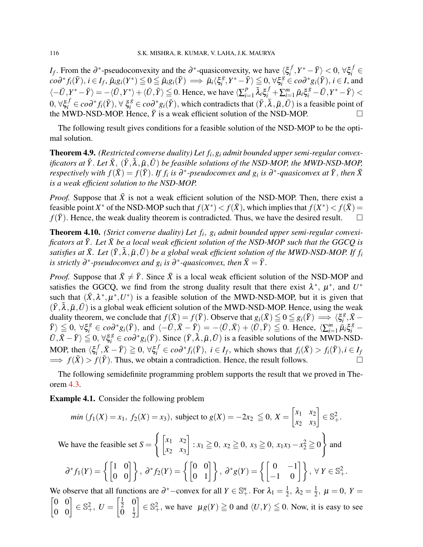*I*<sub>*f*</sub>. From the  $\partial^*$ -pseudoconvexity and the  $\partial^*$ -quasiconvexity, we have  $\langle \xi_i^f \rangle$  $\left\{ \frac{f}{i}, Y^* - \bar{Y} \right\} < 0, \, \forall \xi_i^f \in$  $\vec{c} \circ \partial^* f_i(\bar{Y}), i \in I_f, \bar{\mu}_i g_i(Y^*) \leqq 0 \leqq \bar{\mu}_i g_i(\bar{Y}) \implies \bar{\mu}_i \langle \xi_i^g \rangle$  $\langle g, Y^* - \overline{Y} \rangle \leq 0, \forall \xi_i^g \in co\partial^* g_i(\overline{Y}), i \in I$ , and  $\langle -\bar{U}, Y^* - \bar{Y} \rangle = -\langle \bar{U}, Y^* \rangle + \langle \bar{U}, \bar{Y} \rangle \leq 0$ . Hence, we have  $\langle \sum_{i=1}^p Y_i^* - \bar{Y} \rangle = -\langle \bar{U}, Y^* \rangle + \langle \bar{U}, \bar{Y} \rangle$  $\frac{p}{i=1}\,\bar{\lambda}_i \xi_i^f + \sum_{i=1}^m \bar{\mu}_i \xi_i^g - \bar{U}, Y^* - \bar{Y} \rangle < 0$  $0, \forall \xi_i^f \in co\partial^* f_i(\bar{Y}), \forall \xi_i^g \in co\partial^* g_i(\bar{Y}),$  which contradicts that  $(\bar{Y}, \bar{\lambda}, \bar{\mu}, \bar{U})$  is a feasible point of the MWD-NSD-MOP. Hence,  $\bar{Y}$  is a weak efficient solution of the NSD-MOP.

The following result gives conditions for a feasible solution of the NSD-MOP to be the optimal solution.

Theorem 4.9. *(Restricted converse duality) Let f<sup>i</sup>* ,*g<sup>i</sup> admit bounded upper semi-regular convexificators at*  $\bar{Y}$ . Let  $\bar{X}$ ,  $(\bar{Y}, \bar{\lambda}, \bar{\mu}, \bar{U})$  *be feasible solutions of the NSD-MOP, the MWD-NSD-MOP, respectively with*  $f(\bar{X}) = f(\bar{Y})$ . *If*  $f_i$  *is*  $\partial^*$ -pseudoconvex and  $g_i$  *is*  $\partial^*$ -quasiconvex at  $\bar{Y}$ , then  $\bar{X}$ *is a weak efficient solution to the NSD-MOP.*

*Proof.* Suppose that  $\bar{X}$  is not a weak efficient solution of the NSD-MOP. Then, there exist a feasible point *X*<sup>\*</sup> of the NSD-MOP such that  $f(X^*) < f(\bar{X})$ , which implies that  $f(X^*) < f(\bar{X})$  =  $f(\bar{Y})$ . Hence, the weak duality theorem is contradicted. Thus, we have the desired result.  $\square$ 

**Theorem 4.10.** *(Strict converse duality) Let f<sub>i</sub>, g<sub>i</sub> admit bounded upper semi-regular convexificators at*  $\bar{Y}$ *. Let*  $\bar{X}$  *be a local weak efficient solution of the NSD-MOP such that the GGCQ is*  $s$ atisfies at  $\bar{X}$ . Let  $(\bar{Y},\bar{\lambda},\bar{\mu},\bar{U})$  be a global weak efficient solution of the MWD-NSD-MOP. If  $f_i$ *is strictly*  $\partial^*$ -pseudoconvex and  $g_i$  *is*  $\partial^*$ -quasiconvex, then  $\bar{X} = \bar{Y}$ .

*Proof.* Suppose that  $\bar{X} \neq \bar{Y}$ . Since  $\bar{X}$  is a local weak efficient solution of the NSD-MOP and satisfies the GGCQ, we find from the strong duality result that there exist  $\lambda^*, \mu^*,$  and  $U^*$ such that  $(\bar{X}, \lambda^*, \mu^*, U^*)$  is a feasible solution of the MWD-NSD-MOP, but it is given that  $(\bar{Y}, \bar{\lambda}, \bar{\mu}, \bar{U})$  is a global weak efficient solution of the MWD-NSD-MOP. Hence, using the weak duality theorem, we conclude that  $f(\bar{X}) = f(\bar{Y})$ . Observe that  $g_i(\bar{X}) \leq 0 \leq g_i(\bar{Y}) \implies \langle \xi_i^g \rangle$  $i^g$ ,  $\bar{X}$  −  $|\bar{Y}\rangle \leq 0$ ,  $\forall \xi_i^g \in co\partial^* g_i(\bar{Y})$ , and  $\langle -\bar{U}, \bar{X} - \bar{Y}\rangle = -\langle \bar{U}, \bar{X}\rangle + \langle \bar{U}, \bar{Y}\rangle \leq 0$ . Hence,  $\langle \sum_{i=1}^m \bar{\mu}_i \xi_i^g - \bar{Y}\rangle$  $\langle U, \bar{X} - \bar{Y} \rangle \leq 0$ ,  $\forall \xi_i^g \in co\partial^* g_i(\bar{Y})$ . Since  $(\bar{Y}, \bar{\lambda}, \bar{\mu}, \bar{U})$  is a feasible solutions of the MWD-NSD-MOP, then  $\langle \xi_i^f$  $\langle f_i, \bar{X} - \bar{Y} \rangle \geq 0$ ,  $\forall \xi_i^f \in co\partial^* f_i(\bar{Y}), i \in I_f$ , which shows that  $f_i(\bar{X}) > f_i(\bar{Y}), i \in I_f$  $\implies f(\bar{X}) > f(\bar{Y})$ . Thus, we obtain a contradiction. Hence, the result follows.

The following semidefinite programming problem supports the result that we proved in Theorem [4.3.](#page-10-5)

Example 4.1. Consider the following problem

min 
$$
(f_1(X) = x_1, f_2(X) = x_3)
$$
, subject to  $g(X) = -2x_2 \le 0, X = \begin{bmatrix} x_1 & x_2 \ x_2 & x_3 \end{bmatrix} \in \mathbb{S}^2_+.$ 

We have the feasible set  $S =$  $\int$   $\begin{bmatrix} x_1 & x_2 \end{bmatrix}$ *x*<sup>2</sup> *x*<sup>3</sup>  $: x_1 \ge 0, x_2 \ge 0, x_3 \ge 0, x_1x_3 - x_2^2 \ge 0$  $\mathcal{L}$ and

$$
\partial^* f_1(Y) = \left\{ \begin{bmatrix} 1 & 0 \\ 0 & 0 \end{bmatrix} \right\}, \ \partial^* f_2(Y) = \left\{ \begin{bmatrix} 0 & 0 \\ 0 & 1 \end{bmatrix} \right\}, \ \partial^* g(Y) = \left\{ \begin{bmatrix} 0 & -1 \\ -1 & 0 \end{bmatrix} \right\}, \ \forall \ Y \in \mathbb{S}^2_+.
$$

We observe that all functions are  $\partial^*$  – convex for all  $Y \in \mathbb{S}^n_+$ . For  $\lambda_1 = \frac{1}{2}$  $\frac{1}{2}$ ,  $\lambda_2 = \frac{1}{2}$  $\frac{1}{2}$ ,  $\mu = 0$ ,  $Y =$  $\begin{bmatrix} 0 & 0 \\ 0 & 0 \end{bmatrix} \in \mathbb{S}^2_+, U =$  $\lceil \frac{1}{2} \rceil$  $rac{1}{2}$  0  $\bar{0}$   $\frac{1}{2}$  $\overline{2}$  $\left[ \begin{array}{c} E \in \mathbb{S}^2_+ , \text{ we have } \mu g(Y) \geq 0 \text{ and } \langle U, Y \rangle \leq 0. \text{ Now, it is easy to see} \end{array} \right]$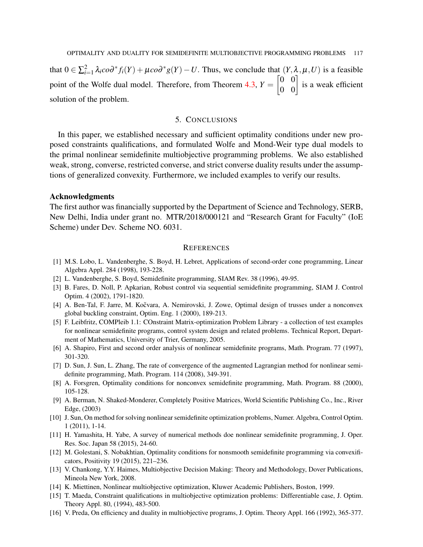that  $0 \in \sum_{i=1}^{2} \lambda_i \cos^* f_i(Y) + \mu \cos^* g(Y) - U$ . Thus, we conclude that  $(Y, \lambda, \mu, U)$  is a feasible point of the Wolfe dual model. Therefore, from Theorem  $4.3$ ,  $Y =$  $\begin{bmatrix} 0 & 0 \\ 0 & 0 \end{bmatrix}$  is a weak efficient solution of the problem.

# 5. CONCLUSIONS

<span id="page-14-15"></span>In this paper, we established necessary and sufficient optimality conditions under new proposed constraints qualifications, and formulated Wolfe and Mond-Weir type dual models to the primal nonlinear semidefinite multiobjective programming problems. We also established weak, strong, converse, restricted converse, and strict converse duality results under the assumptions of generalized convexity. Furthermore, we included examples to verify our results.

#### Acknowledgments

The first author was financially supported by the Department of Science and Technology, SERB, New Delhi, India under grant no. MTR/2018/000121 and "Research Grant for Faculty" (IoE Scheme) under Dev. Scheme NO. 6031.

## **REFERENCES**

- <span id="page-14-0"></span>[1] M.S. Lobo, L. Vandenberghe, S. Boyd, H. Lebret, Applications of second-order cone programming, Linear Algebra Appl. 284 (1998), 193-228.
- <span id="page-14-1"></span>[2] L. Vandenberghe, S. Boyd, Semidefinite programming, SIAM Rev. 38 (1996), 49-95.
- <span id="page-14-2"></span>[3] B. Fares, D. Noll, P. Apkarian, Robust control via sequential semidefinite programming, SIAM J. Control Optim. 4 (2002), 1791-1820.
- <span id="page-14-3"></span>[4] A. Ben-Tal, F. Jarre, M. Kočvara, A. Nemirovski, J. Zowe, Optimal design of trusses under a nonconvex global buckling constraint, Optim. Eng. 1 (2000), 189-213.
- <span id="page-14-4"></span>[5] F. Leibfritz, COMPleib 1.1: COnstraint Matrix-optimization Problem Library - a collection of test examples for nonlinear semidefinite programs, control system design and related problems. Technical Report, Department of Mathematics, University of Trier, Germany, 2005.
- <span id="page-14-5"></span>[6] A. Shapiro, First and second order analysis of nonlinear semidefinite programs, Math. Program. 77 (1997), 301-320.
- <span id="page-14-6"></span>[7] D. Sun, J. Sun, L. Zhang, The rate of convergence of the augmented Lagrangian method for nonlinear semidefinite programming, Math. Program. 114 (2008), 349-391.
- <span id="page-14-7"></span>[8] A. Forsgren, Optimality conditions for nonconvex semidefinite programming, Math. Program. 88 (2000), 105-128.
- <span id="page-14-16"></span>[9] A. Berman, N. Shaked-Monderer, Completely Positive Matrices, World Scientific Publishing Co., Inc., River Edge, (2003)
- <span id="page-14-8"></span>[10] J. Sun, On method for solving nonlinear semidefinite optimization problems, Numer. Algebra, Control Optim. 1 (2011), 1-14.
- <span id="page-14-9"></span>[11] H. Yamashita, H. Yabe, A survey of numerical methods doe nonlinear semidefinite programming, J. Oper. Res. Soc. Japan 58 (2015), 24-60.
- <span id="page-14-10"></span>[12] M. Golestani, S. Nobakhtian, Optimality conditions for nonsmooth semidefinite programming via convexificators, Positivity 19 (2015), 221–236.
- <span id="page-14-11"></span>[13] V. Chankong, Y.Y. Haimes, Multiobjective Decision Making: Theory and Methodology, Dover Publications, Mineola New York, 2008.
- <span id="page-14-12"></span>[14] K. Miettinen, Nonlinear multiobjective optimization, Kluwer Academic Publishers, Boston, 1999.
- <span id="page-14-13"></span>[15] T. Maeda, Constraint qualifications in multiobjective optimization problems: Differentiable case, J. Optim. Theory Appl. 80, (1994), 483-500.
- <span id="page-14-14"></span>[16] V. Preda, On efficiency and duality in multiobjective programs, J. Optim. Theory Appl. 166 (1992), 365-377.